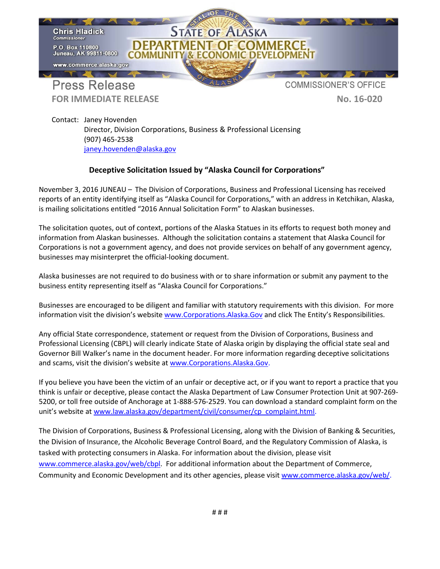

**FOR IMMEDIATE RELEASE No. 16-020** 

Contact: Janey Hovenden Director, Division Corporations, Business & Professional Licensing (907) 465-2538 [janey.hovenden@alaska.gov](mailto:janey.hovenden@alaska.gov)

## **Deceptive Solicitation Issued by "Alaska Council for Corporations"**

November 3, 2016 JUNEAU – The Division of Corporations, Business and Professional Licensing has received reports of an entity identifying itself as "Alaska Council for Corporations," with an address in Ketchikan, Alaska, is mailing solicitations entitled "2016 Annual Solicitation Form" to Alaskan businesses.

The solicitation quotes, out of context, portions of the Alaska Statues in its efforts to request both money and information from Alaskan businesses. Although the solicitation contains a statement that Alaska Council for Corporations is not a government agency, and does not provide services on behalf of any government agency, businesses may misinterpret the official-looking document.

Alaska businesses are not required to do business with or to share information or submit any payment to the business entity representing itself as "Alaska Council for Corporations."

Businesses are encouraged to be diligent and familiar with statutory requirements with this division. For more information visit the division's website [www.Corporations.Alaska.Gov](http://www.corporations.alaska.gov/) and click The Entity's Responsibilities.

Any official State correspondence, statement or request from the Division of Corporations, Business and Professional Licensing (CBPL) will clearly indicate State of Alaska origin by displaying the official state seal and Governor Bill Walker's name in the document header. For more information regarding deceptive solicitations and scams, visit the division's website a[t www.Corporations.Alaska.Gov.](http://www.corporations.alaska.gov/)

If you believe you have been the victim of an unfair or deceptive act, or if you want to report a practice that you think is unfair or deceptive, please contact the Alaska Department of Law Consumer Protection Unit at 907-269- 5200, or toll free outside of Anchorage at 1-888-576-2529. You can download a standard complaint form on the unit's website at [www.law.alaska.gov/department/civil/consumer/cp\\_complaint.html.](http://www.law.alaska.gov/department/civil/consumer/cp_complaint.html)

The Division of Corporations, Business & Professional Licensing, along with the Division of Banking & Securities, the Division of Insurance, the Alcoholic Beverage Control Board, and the Regulatory Commission of Alaska, is tasked with protecting consumers in Alaska. For information about the division, please visit [www.commerce.alaska.gov/web/cbpl.](http://www.commerce.alaska.gov/web/cbpl) For additional information about the Department of Commerce, Community and Economic Development and its other agencies, please visi[t www.commerce.alaska.gov/web/.](http://www.commerce.alaska.gov/web/)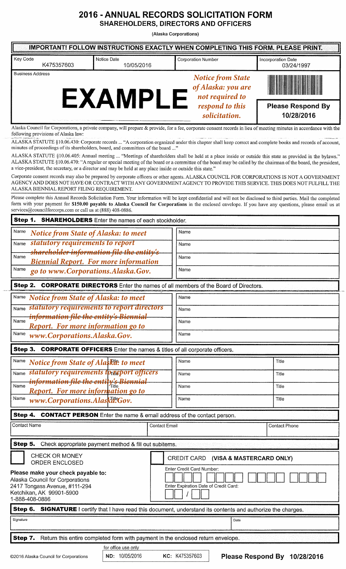## 2016 - ANNUAL RECORDS SOLICITATION FORM

**SHAREHOLDERS, DIRECTORS AND OFFICERS** 

(Alaska Corporations)

| <b>IMPORTANT! FOLLOW INSTRUCTIONS EXACTLY WHEN COMPLETING THIS FORM. PLEASE PRINT.</b>                                                               |                                                |                                                                    |                                                                                                                                                                                                                                                                                                                            |                                  |  |
|------------------------------------------------------------------------------------------------------------------------------------------------------|------------------------------------------------|--------------------------------------------------------------------|----------------------------------------------------------------------------------------------------------------------------------------------------------------------------------------------------------------------------------------------------------------------------------------------------------------------------|----------------------------------|--|
| Key Code<br>K475357603                                                                                                                               | Notice Date<br>10/05/2016                      |                                                                    | <b>Corporation Number</b>                                                                                                                                                                                                                                                                                                  | Incorporation Date<br>03/24/1997 |  |
| <b>Business Address</b>                                                                                                                              | <b>EXAMPLE</b>                                 |                                                                    | <b>Notice from State</b><br>of Alaska: you are<br>not required to                                                                                                                                                                                                                                                          | <b>Please Respond By</b>         |  |
|                                                                                                                                                      |                                                |                                                                    | respond to this<br>solicitation.                                                                                                                                                                                                                                                                                           | 10/28/2016                       |  |
| following provisions of Alaska law:                                                                                                                  |                                                |                                                                    | Alaska Council for Corporations, a private company, will prepare & provide, for a fee, corporate consent records in lieu of meeting minutes in accordance with the                                                                                                                                                         |                                  |  |
| minutes of proceedings of its shareholders, board, and committees of the board "                                                                     |                                                |                                                                    | ALASKA STATUTE §10.06.430: Corporate records  "A corporation organized under this chapter shall keep correct and complete books and records of account,                                                                                                                                                                    |                                  |  |
| a vice-president, the secretary, or a director and may be held at any place inside or outside this state."                                           |                                                |                                                                    | ALASKA STATUTE §10.06.405: Annual meeting  "Meetings of shareholders shall be held at a place inside or outside this state as provided in the bylaws."<br>ALASKA STATUTE §10.06.470: "A regular or special meeting of the board or a committee of the board may be called by the chairman of the board, the president,     |                                  |  |
| ALASKA BIENNIAL REPORT FILING REQUIREMENT.                                                                                                           |                                                |                                                                    | Corporate consent records may also be prepared by corporate officers or other agents. ALASKA COUNCIL FOR CORPORATIONS IS NOT A GOVERNMENT<br>AGENCY AND DOES NOT HAVE OR CONTRACT WITH ANY GOVERNMENT AGENCY TO PROVIDE THIS SERVICE. THIS DOES NOT FULFILL THE                                                            |                                  |  |
| services@councilforcorps.com or call us at (888) 408-0886.                                                                                           |                                                |                                                                    | Please complete this Annual Records Solicitation Form. Your information will be kept confidential and will not be disclosed to third parties. Mail the completed<br>form with your payment for \$150.00 payable to Alaska Council for Corporations in the enclosed envelope. If you have any questions, please email us at |                                  |  |
| Step 1. SHAREHOLDERS Enter the names of each stockholder.                                                                                            |                                                |                                                                    |                                                                                                                                                                                                                                                                                                                            |                                  |  |
| Name<br>Notice from State of Alaska: to meet                                                                                                         |                                                |                                                                    | Name                                                                                                                                                                                                                                                                                                                       |                                  |  |
| statutory requirements to report<br>Name                                                                                                             |                                                |                                                                    | Name                                                                                                                                                                                                                                                                                                                       |                                  |  |
| shareholder information file the entity's<br>Name<br><b>Biennial Report. For more information</b>                                                    |                                                | Name                                                               |                                                                                                                                                                                                                                                                                                                            |                                  |  |
| Name<br>go to www.Corporations.Alaska.Gov.                                                                                                           |                                                |                                                                    | Name                                                                                                                                                                                                                                                                                                                       |                                  |  |
| Step 2.                                                                                                                                              |                                                |                                                                    |                                                                                                                                                                                                                                                                                                                            |                                  |  |
|                                                                                                                                                      |                                                |                                                                    | <b>CORPORATE DIRECTORS</b> Enter the names of all members of the Board of Directors.                                                                                                                                                                                                                                       |                                  |  |
| Name Notice from State of Alaska: to meet                                                                                                            |                                                | Name                                                               |                                                                                                                                                                                                                                                                                                                            |                                  |  |
| Name statutory requirements to report directors<br><del>information file the entity's Biennial</del>                                                 |                                                | Name                                                               |                                                                                                                                                                                                                                                                                                                            |                                  |  |
| Name<br>Report. For more information go to                                                                                                           |                                                |                                                                    | Name                                                                                                                                                                                                                                                                                                                       |                                  |  |
| Name<br>www.Corporations.Alaska.Gov.                                                                                                                 |                                                |                                                                    | Name                                                                                                                                                                                                                                                                                                                       |                                  |  |
| Step 3. CORPORATE OFFICERS Enter the names & titles of all corporate officers.                                                                       |                                                |                                                                    |                                                                                                                                                                                                                                                                                                                            |                                  |  |
| Name<br><b>Notice from State of Alaskit: to meet</b>                                                                                                 |                                                |                                                                    | Name                                                                                                                                                                                                                                                                                                                       | Title                            |  |
|                                                                                                                                                      | Name statutory requirements formeport officers |                                                                    | Name                                                                                                                                                                                                                                                                                                                       | Title                            |  |
| <del>information file the enti<mark>ty's Biennial</mark></del><br>Name                                                                               |                                                |                                                                    | Name                                                                                                                                                                                                                                                                                                                       | Title                            |  |
| Report. For more information go to                                                                                                                   |                                                |                                                                    |                                                                                                                                                                                                                                                                                                                            |                                  |  |
| Name<br>www.Corporations.Alaskde.Gov.                                                                                                                |                                                |                                                                    | Name                                                                                                                                                                                                                                                                                                                       | Title                            |  |
| Step 4.                                                                                                                                              |                                                |                                                                    | <b>CONTACT PERSON</b> Enter the name & email address of the contact person.                                                                                                                                                                                                                                                |                                  |  |
| <b>Contact Name</b>                                                                                                                                  |                                                | <b>Contact Email</b>                                               |                                                                                                                                                                                                                                                                                                                            | <b>Contact Phone</b>             |  |
| Step 5. Check appropriate payment method & fill out subitems.                                                                                        |                                                |                                                                    |                                                                                                                                                                                                                                                                                                                            |                                  |  |
| CHECK OR MONEY<br><b>ORDER ENCLOSED</b>                                                                                                              |                                                |                                                                    | CREDIT CARD (VISA & MASTERCARD ONLY)                                                                                                                                                                                                                                                                                       |                                  |  |
| Please make your check payable to:<br>Alaska Council for Corporations<br>2417 Tongass Avenue, #111-294<br>Ketchikan, AK 99901-5900<br>1-888-408-0886 |                                                | Enter Credit Card Number:<br>Enter Expiration Date of Credit Card: |                                                                                                                                                                                                                                                                                                                            |                                  |  |
| Step 6. SIGNATURE I certify that I have read this document, understand its contents and authorize the charges.                                       |                                                |                                                                    |                                                                                                                                                                                                                                                                                                                            |                                  |  |
| Signature<br>Date                                                                                                                                    |                                                |                                                                    |                                                                                                                                                                                                                                                                                                                            |                                  |  |
| Step 7.                                                                                                                                              |                                                |                                                                    | Return this entire completed form with payment in the enclosed return envelope.                                                                                                                                                                                                                                            |                                  |  |
|                                                                                                                                                      |                                                |                                                                    |                                                                                                                                                                                                                                                                                                                            |                                  |  |

ND: 10/05/2016 KC: K475357603

for office use only